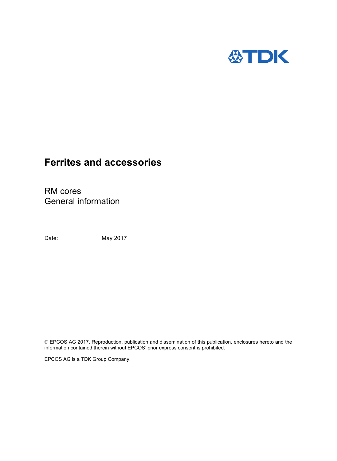

# **Ferrites and accessories**

RM cores General information

Date: May 2017

 EPCOS AG 2017. Reproduction, publication and dissemination of this publication, enclosures hereto and the information contained therein without EPCOS' prior express consent is prohibited.

EPCOS AG is a TDK Group Company.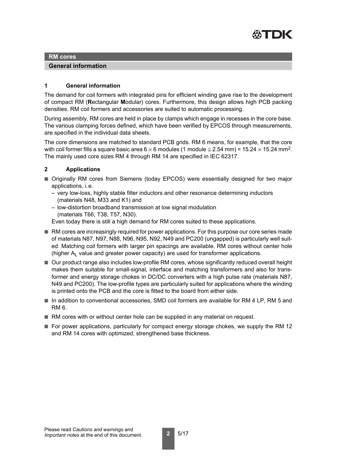

#### **RM cores**

#### **General information**

#### **1 General information**

The demand for coil formers with integrated pins for efficient winding gave rise to the development of compact RM (**R**ectangular **M**odular) cores. Furthermore, this design allows high PCB packing densities. RM coil formers and accessories are suited to automatic processing.

During assembly, RM cores are held in place by clamps which engage in recesses in the core base. The various clamping forces defined, which have been verified by EPCOS through measurements, are specified in the individual data sheets.

The core dimensions are matched to standard PCB grids. RM 6 means, for example, that the core with coil former fills a square basic area 6  $\times$  6 modules (1 module  $\cong$  2.54 mm) = 15.24  $\times$  15.24 mm<sup>2</sup>. The mainly used core sizes RM 4 through RM 14 are specified in IEC 62317.

# **2 Applications**

- Originally RM cores from Siemens (today EPCOS) were essentially designed for two major applications, i.e.
	- very low-loss, highly stable filter inductors and other resonance determining inductors (materials N48, M33 and K1) and
	- low-distortion broadband transmission at low signal modulation (materials T66, T38, T57, N30).

Even today there is still a high demand for RM cores suited to these applications.

- RM cores are increasingly required for power applications. For this purpose our core series made of materials N87, N97, N88, N96, N95, N92, N49 and PC200 (ungapped) is particularly well suited. Matching coil formers with larger pin spacings are available. RM cores without center hole (higher  $A<sub>l</sub>$  value and greater power capacity) are used for transformer applications.
- Our product range also includes low-profile RM cores, whose significantly reduced overall height makes them suitable for small-signal, interface and matching transformers and also for transformer and energy storage chokes in DC/DC converters with a high pulse rate (materials N87, N49 and PC200). The low-profile types are particularly suited for applications where the winding is printed onto the PCB and the core is fitted to the board from either side.
- In addition to conventional accessories, SMD coil formers are available for RM 4 LP, RM 5 and RM 6.
- RM cores with or without center hole can be supplied in any material on request.
- For power applications, particularly for compact energy storage chokes, we supply the RM 12 and RM 14 cores with optimized, strengthened base thickness.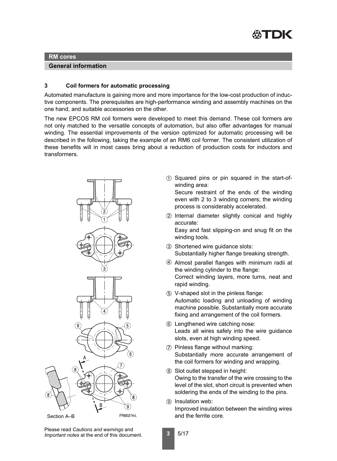

#### **RM cores**

# **General information**

# **3 Coil formers for automatic processing**

Automated manufacture is gaining more and more importance for the low-cost production of inductive components. The prerequisites are high-performance winding and assembly machines on the one hand, and suitable accessories on the other.

The new EPCOS RM coil formers were developed to meet this demand. These coil formers are not only matched to the versatile concepts of automation, but also offer advantages for manual winding. The essential improvements of the version optimized for automatic processing will be described in the following, taking the example of an RM6 coil former. The consistent utilization of these benefits will in most cases bring about a reduction of production costs for inductors and transformers.



➀ Squared pins or pin squared in the start-ofwinding area:

Secure restraint of the ends of the winding even with 2 to 3 winding corners; the winding process is considerably accelerated.

➁ Internal diameter slightly conical and highly accurate:

Easy and fast slipping-on and snug fit on the winding tools.

- ➂ Shortened wire guidance slots: Substantially higher flange breaking strength.
- ➃ Almost parallel flanges with minimum radii at the winding cylinder to the flange: Correct winding layers, more turns, neat and rapid winding.
- ➄ V-shaped slot in the pinless flange: Automatic loading and unloading of winding machine possible. Substantially more accurate fixing and arrangement of the coil formers.
- ➅ Lengthened wire catching nose: Leads all wires safely into the wire guidance slots, even at high winding speed.
- ➆ Pinless flange without marking: Substantially more accurate arrangement of the coil formers for winding and wrapping.
- ➇ Slot outlet stepped in height: Owing to the transfer of the wire crossing to the level of the slot, short circuit is prevented when soldering the ends of the winding to the pins.
- ➈ Insulation web: Improved insulation between the winding wires

Please read *Cautions and warnings* and *Important notes* at the end of this document.

**3** 5/17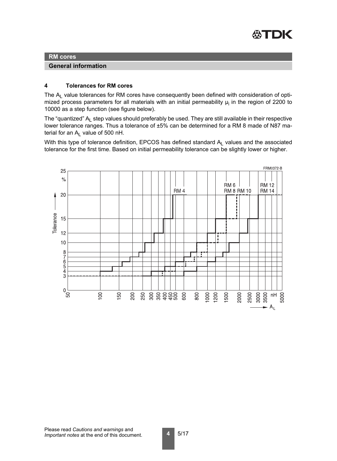

## **RM cores**

**General information**

## **4 Tolerances for RM cores**

The  $A<sub>l</sub>$  value tolerances for RM cores have consequently been defined with consideration of optimized process parameters for all materials with an initial permeability  $\mu_{\mathsf{i}}$  in the region of 2200 to 10000 as a step function (see figure below).

The "quantized"  $A<sub>l</sub>$  step values should preferably be used. They are still available in their respective lower tolerance ranges. Thus a tolerance of ±5% can be determined for a RM 8 made of N87 material for an  $A<sub>l</sub>$  value of 500 nH.

With this type of tolerance definition, EPCOS has defined standard  $A_L$  values and the associated tolerance for the first time. Based on initial permeability tolerance can be slightly lower or higher.